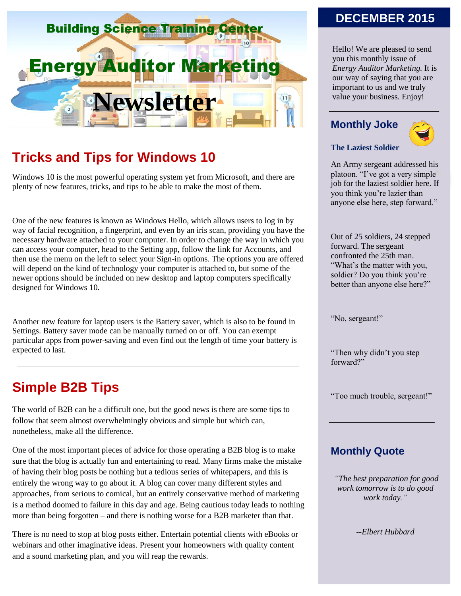

# **Tricks and Tips for Windows 10**

Windows 10 is the most powerful operating system yet from Microsoft, and there are plenty of new features, tricks, and tips to be able to make the most of them.

One of the new features is known as Windows Hello, which allows users to log in by way of facial recognition, a fingerprint, and even by an iris scan, providing you have the necessary hardware attached to your computer. In order to change the way in which you can access your computer, head to the Setting app, follow the link for Accounts, and then use the menu on the left to select your Sign-in options. The options you are offered will depend on the kind of technology your computer is attached to, but some of the newer options should be included on new desktop and laptop computers specifically designed for Windows 10.

Another new feature for laptop users is the Battery saver, which is also to be found in Settings. Battery saver mode can be manually turned on or off. You can exempt particular apps from power-saving and even find out the length of time your battery is expected to last.

# **Simple B2B Tips**

The world of B2B can be a difficult one, but the good news is there are some tips to follow that seem almost overwhelmingly obvious and simple but which can, nonetheless, make all the difference.

One of the most important pieces of advice for those operating a B2B blog is to make sure that the blog is actually fun and entertaining to read. Many firms make the mistake of having their blog posts be nothing but a tedious series of whitepapers, and this is entirely the wrong way to go about it. A blog can cover many different styles and approaches, from serious to comical, but an entirely conservative method of marketing is a method doomed to failure in this day and age. Being cautious today leads to nothing more than being forgotten – and there is nothing worse for a B2B marketer than that.

There is no need to stop at blog posts either. Entertain potential clients with eBooks or webinars and other imaginative ideas. Present your homeowners with quality content and a sound marketing plan, and you will reap the rewards.

### **DECEMBER 2015**

Hello! We are pleased to send you this monthly issue of *Energy Auditor Marketing.* It is our way of saying that you are important to us and we truly value your business. Enjoy!

#### **Monthly Joke**



#### **The Laziest Soldier**

An Army sergeant addressed his platoon. "I've got a very simple job for the laziest soldier here. If you think you're lazier than anyone else here, step forward."

Out of 25 soldiers, 24 stepped forward. The sergeant confronted the 25th man. "What's the matter with you, soldier? Do you think you're better than anyone else here?"

"No, sergeant!"

"Then why didn't you step forward?"

"Too much trouble, sergeant!"

#### **Monthly Quote**

*"The best preparation for good work tomorrow is to do good work today."*

*--Elbert Hubbard*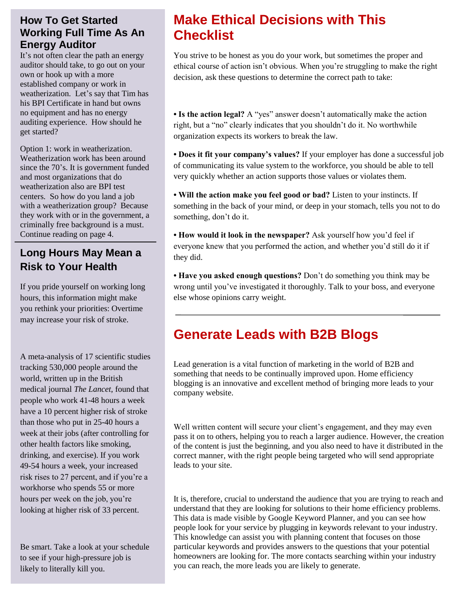### **How To Get Started Working Full Time As An Energy Auditor**

It's not often clear the path an energy auditor should take, to go out on your own or hook up with a more established company or work in weatherization. Let's say that Tim has his BPI Certificate in hand but owns no equipment and has no energy auditing experience. How should he get started?

Option 1: work in weatherization. Weatherization work has been around since the 70's. It is government funded and most organizations that do weatherization also are BPI test centers. So how do you land a job with a weatherization group? Because they work with or in the government, a criminally free background is a must. Continue reading on page 4.

## **Long Hours May Mean a Risk to Your Health**

If you pride yourself on working long hours, this information might make you rethink your priorities: Overtime may increase your risk of stroke.

A meta-analysis of 17 scientific studies tracking 530,000 people around the world, written up in the British medical journal *The Lancet*, found that people who work 41-48 hours a week have a 10 percent higher risk of stroke than those who put in 25-40 hours a week at their jobs (after controlling for other health factors like smoking, drinking, and exercise). If you work 49-54 hours a week, your increased risk rises to 27 percent, and if you're a workhorse who spends 55 or more hours per week on the job, you're looking at higher risk of 33 percent.

Be smart. Take a look at your schedule to see if your high-pressure job is likely to literally kill you.

# **Make Ethical Decisions with This Checklist**

You strive to be honest as you do your work, but sometimes the proper and ethical course of action isn't obvious. When you're struggling to make the right decision, ask these questions to determine the correct path to take:

**• Is the action legal?** A "yes" answer doesn't automatically make the action right, but a "no" clearly indicates that you shouldn't do it. No worthwhile organization expects its workers to break the law.

**• Does it fit your company's values?** If your employer has done a successful job of communicating its value system to the workforce, you should be able to tell very quickly whether an action supports those values or violates them.

**• Will the action make you feel good or bad?** Listen to your instincts. If something in the back of your mind, or deep in your stomach, tells you not to do something, don't do it.

**• How would it look in the newspaper?** Ask yourself how you'd feel if everyone knew that you performed the action, and whether you'd still do it if they did.

**• Have you asked enough questions?** Don't do something you think may be wrong until you've investigated it thoroughly. Talk to your boss, and everyone else whose opinions carry weight.

# **Generate Leads with B2B Blogs**

Lead generation is a vital function of marketing in the world of B2B and something that needs to be continually improved upon. Home efficiency blogging is an innovative and excellent method of bringing more leads to your company website.

Well written content will secure your client's engagement, and they may even pass it on to others, helping you to reach a larger audience. However, the creation of the content is just the beginning, and you also need to have it distributed in the correct manner, with the right people being targeted who will send appropriate leads to your site.

It is, therefore, crucial to understand the audience that you are trying to reach and understand that they are looking for solutions to their home efficiency problems. This data is made visible by Google Keyword Planner, and you can see how people look for your service by plugging in keywords relevant to your industry. This knowledge can assist you with planning content that focuses on those particular keywords and provides answers to the questions that your potential homeowners are looking for. The more contacts searching within your industry you can reach, the more leads you are likely to generate.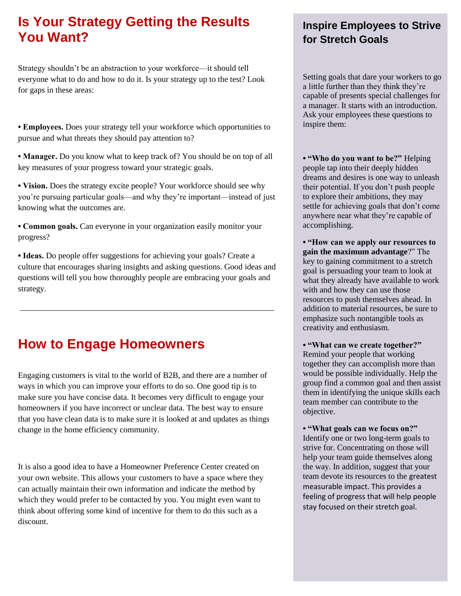# **Is Your Strategy Getting the Results You Want?**

Strategy shouldn't be an abstraction to your workforce—it should tell everyone what to do and how to do it. Is your strategy up to the test? Look for gaps in these areas:

**• Employees.** Does your strategy tell your workforce which opportunities to pursue and what threats they should pay attention to?

**• Manager.** Do you know what to keep track of? You should be on top of all key measures of your progress toward your strategic goals.

**• Vision.** Does the strategy excite people? Your workforce should see why you're pursuing particular goals—and why they're important—instead of just knowing what the outcomes are.

**• Common goals.** Can everyone in your organization easily monitor your progress?

**• Ideas.** Do people offer suggestions for achieving your goals? Create a culture that encourages sharing insights and asking questions. Good ideas and questions will tell you how thoroughly people are embracing your goals and strategy.

# **How to Engage Homeowners**

Engaging customers is vital to the world of B2B, and there are a number of ways in which you can improve your efforts to do so. One good tip is to make sure you have concise data. It becomes very difficult to engage your homeowners if you have incorrect or unclear data. The best way to ensure that you have clean data is to make sure it is looked at and updates as things change in the home efficiency community.

It is also a good idea to have a Homeowner Preference Center created on your own website. This allows your customers to have a space where they can actually maintain their own information and indicate the method by which they would prefer to be contacted by you. You might even want to think about offering some kind of incentive for them to do this such as a discount.

## **Inspire Employees to Strive for Stretch Goals**

Setting goals that dare your workers to go a little further than they think they're capable of presents special challenges for a manager. It starts with an introduction. Ask your employees these questions to inspire them:

**• "Who do you want to be?"** Helping people tap into their deeply hidden dreams and desires is one way to unleash their potential. If you don't push people to explore their ambitions, they may settle for achieving goals that don't come anywhere near what they're capable of accomplishing.

**• "How can we apply our resources to gain the maximum advantage**?" The key to gaining commitment to a stretch goal is persuading your team to look at what they already have available to work with and how they can use those resources to push themselves ahead. In addition to material resources, be sure to emphasize such nontangible tools as creativity and enthusiasm.

**• "What can we create together?"** Remind your people that working together they can accomplish more than would be possible individually. Help the group find a common goal and then assist them in identifying the unique skills each team member can contribute to the objective.

**• "What goals can we focus on?"** Identify one or two long-term goals to strive for. Concentrating on those will help your team guide themselves along the way. In addition, suggest that your team devote its resources to the greatest measurable impact. This provides a feeling of progress that will help people stay focused on their stretch goal.